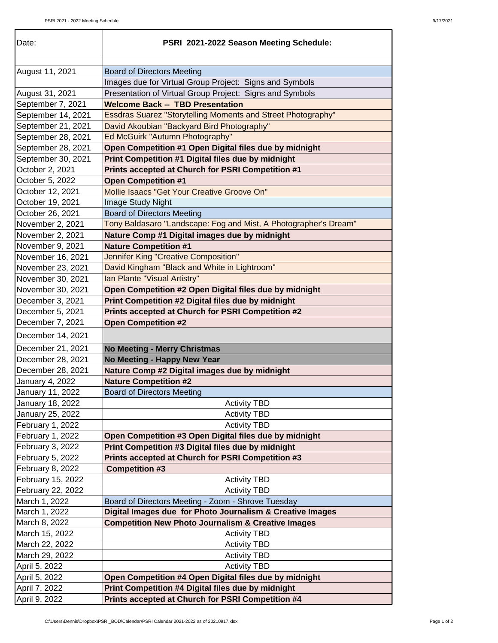| Date:              | PSRI 2021-2022 Season Meeting Schedule:                             |
|--------------------|---------------------------------------------------------------------|
| August 11, 2021    | <b>Board of Directors Meeting</b>                                   |
|                    | Images due for Virtual Group Project: Signs and Symbols             |
| August 31, 2021    | Presentation of Virtual Group Project: Signs and Symbols            |
| September 7, 2021  | <b>Welcome Back -- TBD Presentation</b>                             |
| September 14, 2021 | <b>Essdras Suarez "Storytelling Moments and Street Photography"</b> |
| September 21, 2021 | David Akoubian "Backyard Bird Photography"                          |
| September 28, 2021 | Ed McGuirk "Autumn Photography"                                     |
| September 28, 2021 | Open Competition #1 Open Digital files due by midnight              |
| September 30, 2021 | Print Competition #1 Digital files due by midnight                  |
| October 2, 2021    | Prints accepted at Church for PSRI Competition #1                   |
| October 5, 2022    | <b>Open Competition #1</b>                                          |
| October 12, 2021   | Mollie Isaacs "Get Your Creative Groove On"                         |
| October 19, 2021   | Image Study Night                                                   |
| October 26, 2021   | <b>Board of Directors Meeting</b>                                   |
| November 2, 2021   | Tony Baldasaro "Landscape: Fog and Mist, A Photographer's Dream"    |
| November 2, 2021   | Nature Comp #1 Digital images due by midnight                       |
| November 9, 2021   | <b>Nature Competition #1</b>                                        |
| November 16, 2021  | <b>Jennifer King "Creative Composition"</b>                         |
| November 23, 2021  | David Kingham "Black and White in Lightroom"                        |
| November 30, 2021  | Ian Plante "Visual Artistry"                                        |
|                    |                                                                     |
| November 30, 2021  | Open Competition #2 Open Digital files due by midnight              |
| December 3, 2021   | Print Competition #2 Digital files due by midnight                  |
| December 5, 2021   | Prints accepted at Church for PSRI Competition #2                   |
| December 7, 2021   | <b>Open Competition #2</b>                                          |
| December 14, 2021  |                                                                     |
| December 21, 2021  | <b>No Meeting - Merry Christmas</b>                                 |
| December 28, 2021  | No Meeting - Happy New Year                                         |
| December 28, 2021  | Nature Comp #2 Digital images due by midnight                       |
| January 4, 2022    | <b>Nature Competition #2</b>                                        |
| January 11, 2022   | <b>Board of Directors Meeting</b>                                   |
| January 18, 2022   | <b>Activity TBD</b>                                                 |
| January 25, 2022   | <b>Activity TBD</b>                                                 |
| February 1, 2022   | <b>Activity TBD</b>                                                 |
| February 1, 2022   | Open Competition #3 Open Digital files due by midnight              |
| February 3, 2022   | Print Competition #3 Digital files due by midnight                  |
| February 5, 2022   | Prints accepted at Church for PSRI Competition #3                   |
| February 8, 2022   | <b>Competition #3</b>                                               |
| February 15, 2022  | <b>Activity TBD</b>                                                 |
| February 22, 2022  | <b>Activity TBD</b>                                                 |
| March 1, 2022      | Board of Directors Meeting - Zoom - Shrove Tuesday                  |
| March 1, 2022      | Digital Images due for Photo Journalism & Creative Images           |
| March 8, 2022      | <b>Competition New Photo Journalism &amp; Creative Images</b>       |
| March 15, 2022     | <b>Activity TBD</b>                                                 |
| March 22, 2022     | <b>Activity TBD</b>                                                 |
| March 29, 2022     | <b>Activity TBD</b>                                                 |
| April 5, 2022      | <b>Activity TBD</b>                                                 |
| April 5, 2022      | Open Competition #4 Open Digital files due by midnight              |
| April 7, 2022      | Print Competition #4 Digital files due by midnight                  |
| April 9, 2022      | Prints accepted at Church for PSRI Competition #4                   |